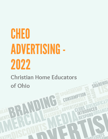# CHEO ADVERTISING-2022

**Christian Home Educators of Ohio**

WATE

W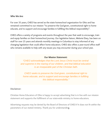#### **Who We Are:**

For over 35 years, CHEO has served as the state homeschool organization for Ohio and has remained committed to our mission "to preserve the God-given, constitutional right to home educate, and to support and encourage families in fulfilling this biblical responsibility ".

CHEO offers a variety of programs and events throughout the year that seek to encourage, train and equip families on their homeschool journey. Our legislative liaison, Melanie Elsey, has been on staff for over 25 years and attends monthly meetings in Columbus to stay informed of any changing legislation that could affect home educators. CHEO also offers a year-round office staff who remains available to help with any issues you may encounter during your school year.

#### **Our Mission Statement:**

*"CHEO acknowledges that the Lord Jesus Christ must be central and supreme in the rearing of our children, and that biblical education is an inseparable part of the Christian faith.*

*CHEO seeks to preserve the God-given, constitutional right to home educate, and to support and encourage families in fulfilling this biblical responsibility."*

#### **Disclaimer:**

Christian Home Educators of Ohio is happy to accept advertising that is in line with our mission statement and supports the fulfillment of our state-wide ministry to home educators.

Advertising requests may be denied by the Board of Directors of CHEO if it does not fit within the parameters of our stated ministry. Thank you for understandin**g.**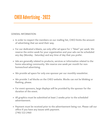# **CHEO Advertising - 2022**

#### **GENERAL INFORMATION:**

- **In order to respect the members on our mailing list, CHEO limits the amount of advertising that we send their way.**
- **For our dedicated e-blasts, we only offer ad space for 1 "blast" per week. We reserve the entire week for your organization and your ads can be scheduled any day (Monday - Saturday) and any time of day that you prefer.**
- **Ads are generally related to products, services or information related to the home educating community. We reserve one week per month for nonhomeschool advertising.**
- **We provide ad space for only one sponsor per our monthly newsletter.**
- **We provide 3 ad blocks on the CHEO website. Blocks can not be blinking or flashing, please.**
- **For event sponsors, large displays will be provided by the sponsor for the duration of the event.**
- **All graphics must be submitted at least 2 weeks prior to the scheduled advertisement.**
- **Payment must be received prior to the advertisement being run. Please call our office if you have any issues with payment. (740) 522-2460**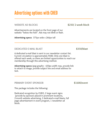### **Advertising options with CHEO**

#### **WEBSITE AD BLOCKS**

Advertisements are located on the front page of our website "below the fold". Ads may not blink or flash.

**Advertising specs:** 375px wide x 266px tall

#### **DEDICATED E-MAIL BLAST**

**\$350/blast**

A dedicated e-mail blast is sent to our newsletter contact list. Current circulation is approximately 4500. Only one blast is offered each week, so there are limited opportunities to reach our membership through this advertising method.

**Advertising specs:** Jpeg graphic - 650px width max, provide link to attach to image, provide subject line and email address for test.

**PRIMARY EVENT SPONSOR \$1600/event**

This package includes the following:

Dedicated recognition by CHEO, 2 large event signs (provide by sponsor) placed in prominent locations, 2-month website advertising, 2 dedicated e-mail blasts, full page advertisement in event program, 1 newsletter ad block.

**\$250/ 2-week block**